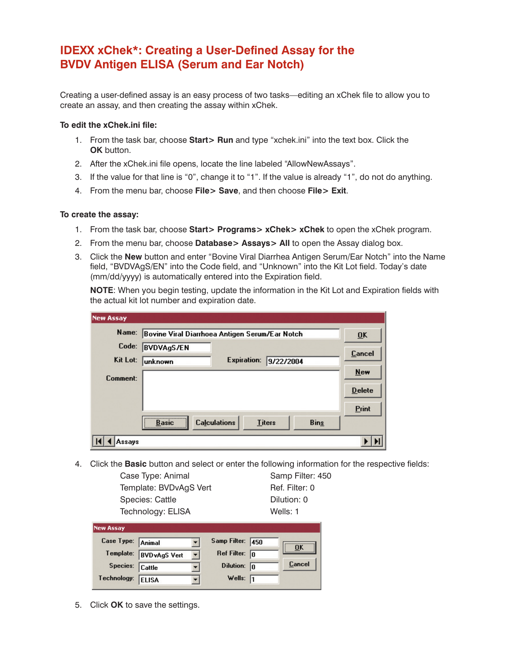# **IDEXX xChek\*: Creating a User-Defined Assay for the BVDV Antigen ELISA (Serum and Ear Notch)**

Creating a user-defined assay is an easy process of two tasks—editing an xChek file to allow you to create an assay, and then creating the assay within xChek.

#### **To edit the xChek.ini file:**

- 1. From the task bar, choose **Start> Run** and type "xchek.ini" into the text box. Click the **OK** button.
- 2. After the xChek.ini file opens, locate the line labeled "AllowNewAssays".
- 3. If the value for that line is "0", change it to "1". If the value is already "1", do not do anything.
- 4. From the menu bar, choose **File> Save**, and then choose **File> Exit**.

#### **To create the assay:**

- 1. From the task bar, choose **Start> Programs> xChek> xChek** to open the xChek program.
- 2. From the menu bar, choose **Database> Assays> All** to open the Assay dialog box.
- 3. Click the **New** button and enter "Bovine Viral Diarrhea Antigen Serum/Ear Notch" into the Name field, "BVDVAgS/EN" into the Code field, and "Unknown" into the Kit Lot field. Today's date (mm/dd/yyyy) is automatically entered into the Expiration field.

**NOTE**: When you begin testing, update the information in the Kit Lot and Expiration fields with the actual kit lot number and expiration date.

| <b>New Assay</b> |                                                |             |               |             |                           |
|------------------|------------------------------------------------|-------------|---------------|-------------|---------------------------|
| Name:            | Bovine Viral Diarrhoea Antigen Serum/Ear Notch |             |               |             | $\overline{\mathbf{0}}$ K |
| Code:            | <b>BVDVAgS/EN</b>                              |             |               |             | <b>Cancel</b>             |
| Kit Lot:         | unknown                                        | Expiration: | 9/22/2004     |             |                           |
| Comment:         |                                                |             |               |             | <b>New</b>                |
|                  |                                                |             |               |             | <b>Delete</b>             |
|                  |                                                |             |               |             | Print                     |
|                  | <br><b>Calculations</b><br><b>Basic</b><br>    |             | <b>Titers</b> | <b>Bins</b> |                           |
| ssays)           |                                                |             |               |             |                           |

4. Click the **Basic** button and select or enter the following information for the respective fields:

Case Type: Animal Samp Filter: 450 Template: BVDvAgS Vert Ref. Filter: 0 Species: Cattle **Dilution: 0** Technology: ELISA Wells: 1

| <b>New Assay</b>  |                        |                         |    |        |
|-------------------|------------------------|-------------------------|----|--------|
| Case Type: Animal |                        | Samp Filter: 450        |    | ΠK     |
|                   | Template: BVDvAgS Vert | Ref Filter: $\boxed{0}$ |    |        |
| Species: Cattle   |                        | Dilution:               | In | Cancel |
| Technology:       | <b>ELISA</b>           | Wells: $\sqrt{1}$       |    |        |

5. Click **OK** to save the settings.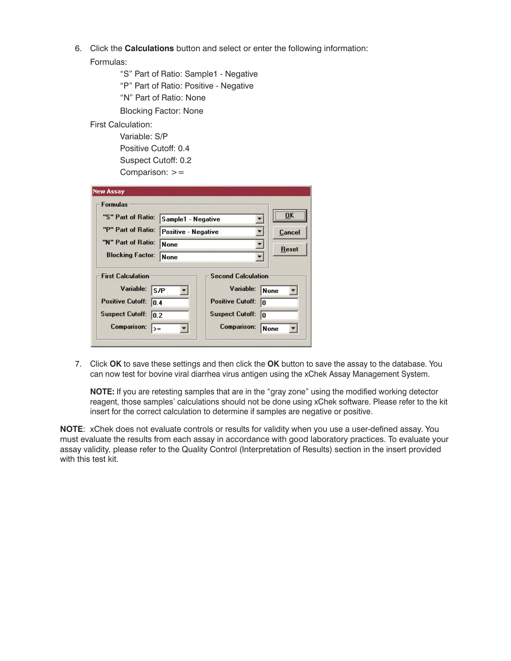6. Click the **Calculations** button and select or enter the following information:

Formulas:

 "S" Part of Ratio: Sample1 - Negative "P" Part of Ratio: Positive - Negative "N" Part of Ratio: None Blocking Factor: None

## First Calculation:

 Variable: S/P Positive Cutoff: 0.4 Suspect Cutoff: 0.2 Comparison:  $>=$ 

| Sample1 - Negative  |                                        | <br>ΠK |
|---------------------|----------------------------------------|--------|
| Positive - Negative |                                        | Cancel |
| <b>None</b>         |                                        | Reset  |
| <b>None</b>         |                                        |        |
| S/P                 | <b>Second Calculation</b><br>Variable: | None   |
| 10.4                | <b>Positive Cutoff:</b><br>ın          |        |
| 0.2                 | <b>Suspect Cutoff:</b><br>lo           |        |
| $\rightarrow$       | <b>Comparison:</b>                     | None   |
|                     |                                        |        |

7. Click **OK** to save these settings and then click the **OK** button to save the assay to the database. You can now test for bovine viral diarrhea virus antigen using the xChek Assay Management System.

**NOTE:** If you are retesting samples that are in the "gray zone" using the modified working detector reagent, those samples' calculations should not be done using xChek software. Please refer to the kit insert for the correct calculation to determine if samples are negative or positive.

**NOTE**: xChek does not evaluate controls or results for validity when you use a user-defined assay. You must evaluate the results from each assay in accordance with good laboratory practices. To evaluate your assay validity, please refer to the Quality Control (Interpretation of Results) section in the insert provided with this test kit.